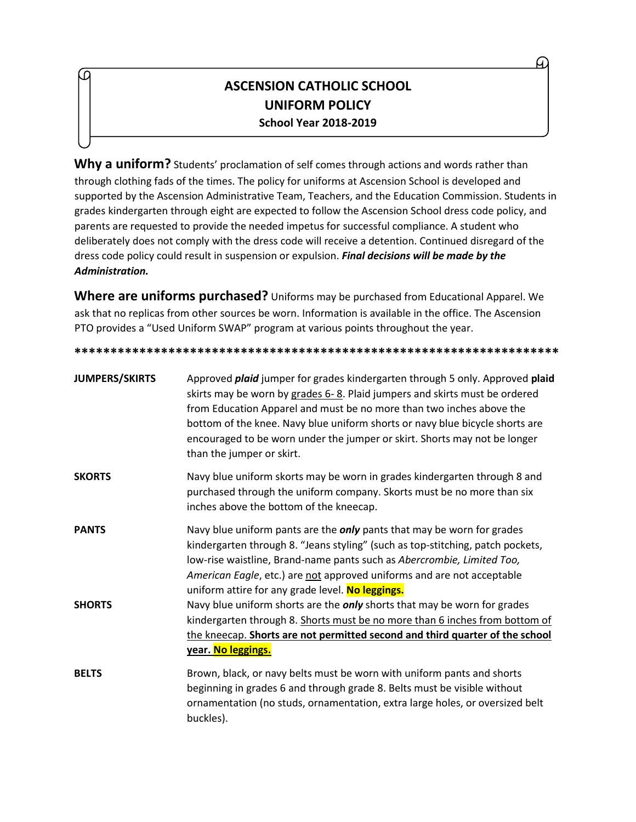## **ASCENSION CATHOLIC SCHOOL UNIFORM POLICY School Year 2018-2019**

**Why a uniform?** Students' proclamation of self comes through actions and words rather than through clothing fads of the times. The policy for uniforms at Ascension School is developed and supported by the Ascension Administrative Team, Teachers, and the Education Commission. Students in grades kindergarten through eight are expected to follow the Ascension School dress code policy, and parents are requested to provide the needed impetus for successful compliance. A student who deliberately does not comply with the dress code will receive a detention. Continued disregard of the dress code policy could result in suspension or expulsion. *Final decisions will be made by the Administration.* 

**Where are uniforms purchased?** Uniforms may be purchased from Educational Apparel. We ask that no replicas from other sources be worn. Information is available in the office. The Ascension PTO provides a "Used Uniform SWAP" program at various points throughout the year.

**\*\*\*\*\*\*\*\*\*\*\*\*\*\*\*\*\*\*\*\*\*\*\*\*\*\*\*\*\*\*\*\*\*\*\*\*\*\*\*\*\*\*\*\*\*\*\*\*\*\*\*\*\*\*\*\*\*\*\*\*\*\*\*\*\*\*\***

| <b>JUMPERS/SKIRTS</b> | Approved <i>plaid</i> jumper for grades kindergarten through 5 only. Approved plaid<br>skirts may be worn by grades 6-8. Plaid jumpers and skirts must be ordered<br>from Education Apparel and must be no more than two inches above the<br>bottom of the knee. Navy blue uniform shorts or navy blue bicycle shorts are<br>encouraged to be worn under the jumper or skirt. Shorts may not be longer<br>than the jumper or skirt. |
|-----------------------|-------------------------------------------------------------------------------------------------------------------------------------------------------------------------------------------------------------------------------------------------------------------------------------------------------------------------------------------------------------------------------------------------------------------------------------|
| <b>SKORTS</b>         | Navy blue uniform skorts may be worn in grades kindergarten through 8 and<br>purchased through the uniform company. Skorts must be no more than six<br>inches above the bottom of the kneecap.                                                                                                                                                                                                                                      |
| <b>PANTS</b>          | Navy blue uniform pants are the <i>only</i> pants that may be worn for grades<br>kindergarten through 8. "Jeans styling" (such as top-stitching, patch pockets,<br>low-rise waistline, Brand-name pants such as Abercrombie, Limited Too,<br>American Eagle, etc.) are not approved uniforms and are not acceptable<br>uniform attire for any grade level. No leggings.                                                             |
| <b>SHORTS</b>         | Navy blue uniform shorts are the <i>only</i> shorts that may be worn for grades<br>kindergarten through 8. Shorts must be no more than 6 inches from bottom of<br>the kneecap. Shorts are not permitted second and third quarter of the school<br>year. No leggings.                                                                                                                                                                |
| <b>BELTS</b>          | Brown, black, or navy belts must be worn with uniform pants and shorts<br>beginning in grades 6 and through grade 8. Belts must be visible without<br>ornamentation (no studs, ornamentation, extra large holes, or oversized belt<br>buckles).                                                                                                                                                                                     |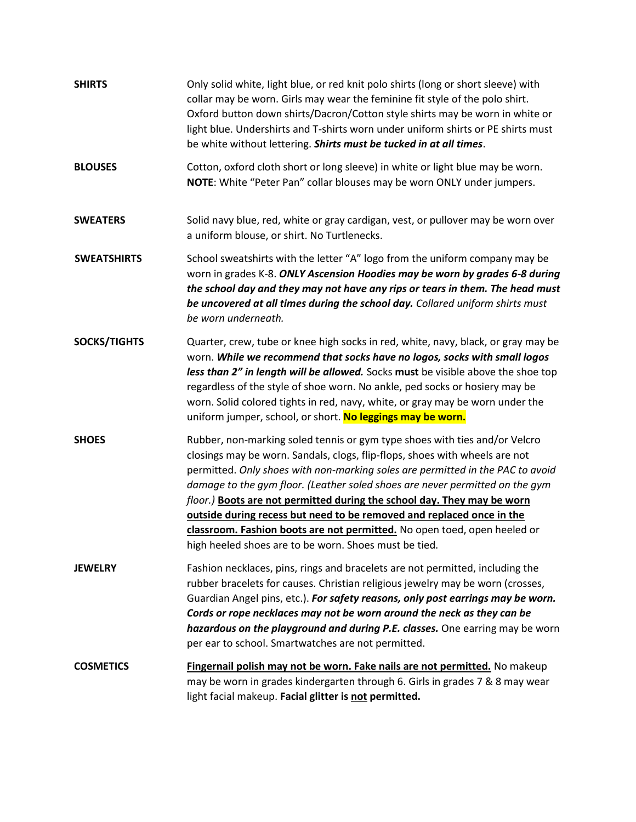| <b>SHIRTS</b>       | Only solid white, light blue, or red knit polo shirts (long or short sleeve) with<br>collar may be worn. Girls may wear the feminine fit style of the polo shirt.<br>Oxford button down shirts/Dacron/Cotton style shirts may be worn in white or<br>light blue. Undershirts and T-shirts worn under uniform shirts or PE shirts must<br>be white without lettering. Shirts must be tucked in at all times.                                                                                                                                                                                                          |
|---------------------|----------------------------------------------------------------------------------------------------------------------------------------------------------------------------------------------------------------------------------------------------------------------------------------------------------------------------------------------------------------------------------------------------------------------------------------------------------------------------------------------------------------------------------------------------------------------------------------------------------------------|
| <b>BLOUSES</b>      | Cotton, oxford cloth short or long sleeve) in white or light blue may be worn.<br>NOTE: White "Peter Pan" collar blouses may be worn ONLY under jumpers.                                                                                                                                                                                                                                                                                                                                                                                                                                                             |
| <b>SWEATERS</b>     | Solid navy blue, red, white or gray cardigan, vest, or pullover may be worn over<br>a uniform blouse, or shirt. No Turtlenecks.                                                                                                                                                                                                                                                                                                                                                                                                                                                                                      |
| <b>SWEATSHIRTS</b>  | School sweatshirts with the letter "A" logo from the uniform company may be<br>worn in grades K-8. ONLY Ascension Hoodies may be worn by grades 6-8 during<br>the school day and they may not have any rips or tears in them. The head must<br>be uncovered at all times during the school day. Collared uniform shirts must<br>be worn underneath.                                                                                                                                                                                                                                                                  |
| <b>SOCKS/TIGHTS</b> | Quarter, crew, tube or knee high socks in red, white, navy, black, or gray may be<br>worn. While we recommend that socks have no logos, socks with small logos<br>less than 2" in length will be allowed. Socks must be visible above the shoe top<br>regardless of the style of shoe worn. No ankle, ped socks or hosiery may be<br>worn. Solid colored tights in red, navy, white, or gray may be worn under the<br>uniform jumper, school, or short. No leggings may be worn.                                                                                                                                     |
| <b>SHOES</b>        | Rubber, non-marking soled tennis or gym type shoes with ties and/or Velcro<br>closings may be worn. Sandals, clogs, flip-flops, shoes with wheels are not<br>permitted. Only shoes with non-marking soles are permitted in the PAC to avoid<br>damage to the gym floor. (Leather soled shoes are never permitted on the gym<br>floor.) Boots are not permitted during the school day. They may be worn<br>outside during recess but need to be removed and replaced once in the<br>classroom. Fashion boots are not permitted. No open toed, open heeled or<br>high heeled shoes are to be worn. Shoes must be tied. |
| <b>JEWELRY</b>      | Fashion necklaces, pins, rings and bracelets are not permitted, including the<br>rubber bracelets for causes. Christian religious jewelry may be worn (crosses,<br>Guardian Angel pins, etc.). For safety reasons, only post earrings may be worn.<br>Cords or rope necklaces may not be worn around the neck as they can be<br>hazardous on the playground and during P.E. classes. One earring may be worn<br>per ear to school. Smartwatches are not permitted.                                                                                                                                                   |
| <b>COSMETICS</b>    | Fingernail polish may not be worn. Fake nails are not permitted. No makeup<br>may be worn in grades kindergarten through 6. Girls in grades 7 & 8 may wear<br>light facial makeup. Facial glitter is not permitted.                                                                                                                                                                                                                                                                                                                                                                                                  |